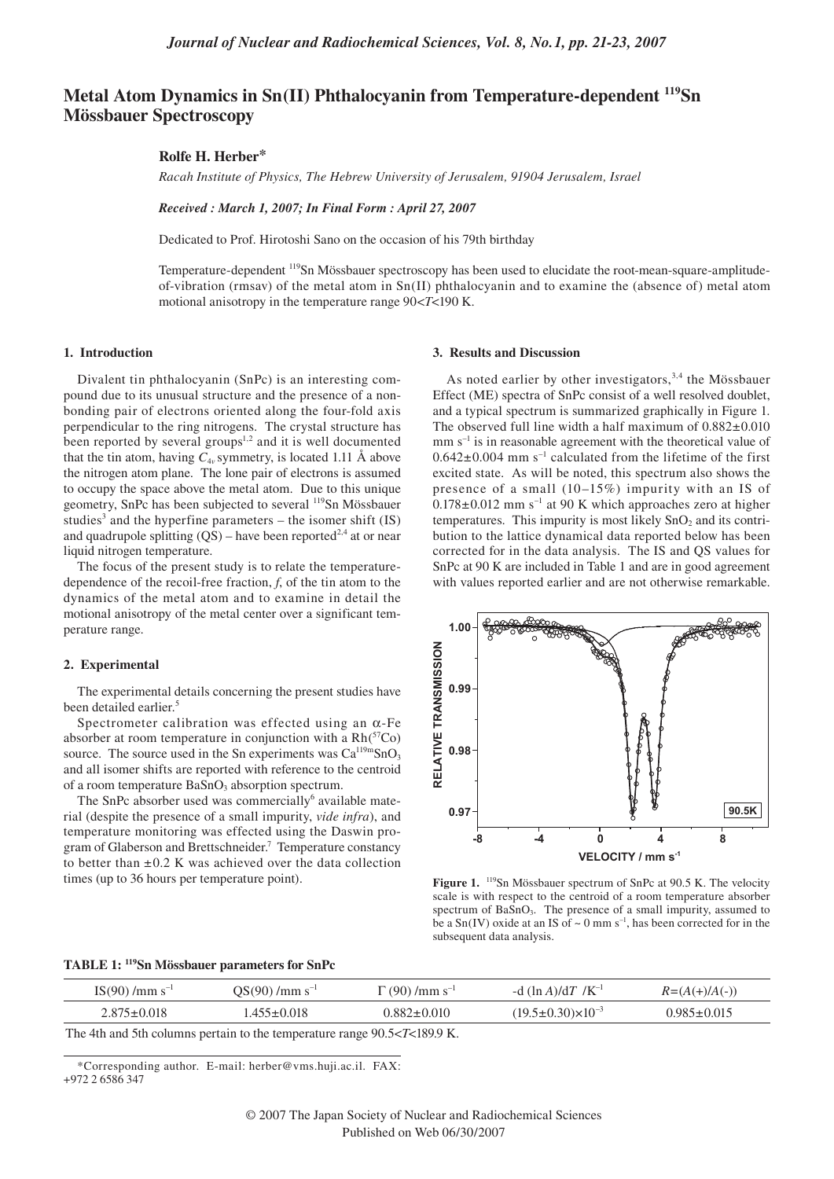# **Metal Atom Dynamics in Sn(II) Phthalocyanin from Temperature-dependent 119Sn Mössbauer Spectroscopy**

# **Rolfe H. Herber\***

*Racah Institute of Physics, The Hebrew University of Jerusalem, 91904 Jerusalem, Israel*

*Received : March 1, 2007; In Final Form : April 27, 2007* 

Dedicated to Prof. Hirotoshi Sano on the occasion of his 79th birthday

Temperature-dependent 119Sn Mössbauer spectroscopy has been used to elucidate the root-mean-square-amplitudeof-vibration (rmsav) of the metal atom in  $Sn(II)$  phthalocyanin and to examine the (absence of) metal atom motional anisotropy in the temperature range 90<*T*<190 K.

#### **1. Introduction**

Divalent tin phthalocyanin (SnPc) is an interesting compound due to its unusual structure and the presence of a nonbonding pair of electrons oriented along the four-fold axis perpendicular to the ring nitrogens. The crystal structure has been reported by several groups<sup>1,2</sup> and it is well documented that the tin atom, having  $C_{4v}$  symmetry, is located 1.11 Å above the nitrogen atom plane. The lone pair of electrons is assumed to occupy the space above the metal atom. Due to this unique geometry, SnPc has been subjected to several 119Sn Mössbauer studies<sup>3</sup> and the hyperfine parameters  $-$  the isomer shift (IS) and quadrupole splitting  $(QS)$  – have been reported<sup>2,4</sup> at or near liquid nitrogen temperature.

The focus of the present study is to relate the temperaturedependence of the recoil-free fraction, *f*, of the tin atom to the dynamics of the metal atom and to examine in detail the motional anisotropy of the metal center over a significant temperature range.

## **2. Experimental**

The experimental details concerning the present studies have been detailed earlier.<sup>5</sup>

Spectrometer calibration was effected using an  $\alpha$ -Fe absorber at room temperature in conjunction with a  $Rh<sup>{57}</sup>Co$ source. The source used in the Sn experiments was  $Ca^{119m}SnO<sub>3</sub>$ and all isomer shifts are reported with reference to the centroid of a room temperature  $BaSnO<sub>3</sub>$  absorption spectrum.

The SnPc absorber used was commercially<sup>6</sup> available material (despite the presence of a small impurity, *vide infra*), and temperature monitoring was effected using the Daswin program of Glaberson and Brettschneider.<sup>7</sup> Temperature constancy to better than  $\pm 0.2$  K was achieved over the data collection times (up to 36 hours per temperature point).

#### **3. Results and Discussion**

As noted earlier by other investigators,  $3,4$  the Mössbauer Effect (ME) spectra of SnPc consist of a well resolved doublet, and a typical spectrum is summarized graphically in Figure 1. The observed full line width a half maximum of  $0.882 \pm 0.010$  $mm s<sup>-1</sup>$  is in reasonable agreement with the theoretical value of  $0.642\pm0.004$  mm s<sup>-1</sup> calculated from the lifetime of the first excited state. As will be noted, this spectrum also shows the presence of a small  $(10-15\%)$  impurity with an IS of  $0.178\pm0.012$  mm s<sup>-1</sup> at 90 K which approaches zero at higher temperatures. This impurity is most likely  $SnO<sub>2</sub>$  and its contribution to the lattice dynamical data reported below has been corrected for in the data analysis. The IS and QS values for SnPc at 90 K are included in Table 1 and are in good agreement with values reported earlier and are not otherwise remarkable.



Figure 1. <sup>119</sup>Sn Mössbauer spectrum of SnPc at 90.5 K. The velocity scale is with respect to the centroid of a room temperature absorber spectrum of BaSnO<sub>3</sub>. The presence of a small impurity, assumed to be a  $Sn(IV)$  oxide at an IS of  $\sim 0$  mm s<sup>-1</sup>, has been corrected for in the subsequent data analysis.

# **TABLE 1: 119Sn Mössbauer parameters for SnPc**

| $IS(90) / mm s^{-1}$ | $OS(90) / \text{mm s}^{-1}$ | $\Gamma(90) / \text{mm s}^{-1}$ | -d $(\ln A)/dT / K^{-1}$         | $R = (A(+)/A(-))$ |
|----------------------|-----------------------------|---------------------------------|----------------------------------|-------------------|
| $2.875 \pm 0.018$    | $.455 \pm 0.018$            | $0.882 \pm 0.010$               | $(19.5 \pm 0.30) \times 10^{-3}$ | $0.985 \pm 0.015$ |
|                      |                             | ------------                    |                                  |                   |

The 4th and 5th columns pertain to the temperature range 90.5<*T*<189.9 K.

\*Corresponding author. E-mail: herber@vms.huji.ac.il. FAX:

<sup>+972 2 6586 347</sup>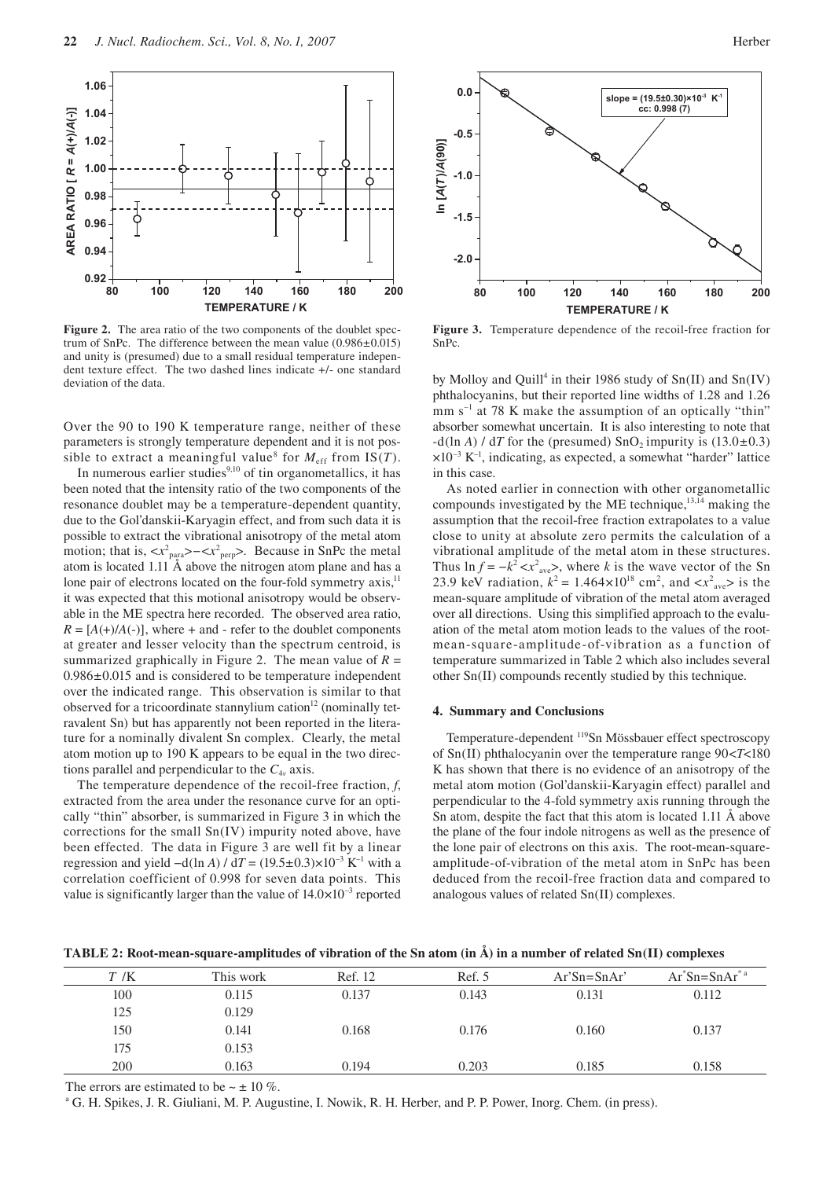

Figure 2. The area ratio of the two components of the doublet spectrum of SnPc. The difference between the mean value (0.986±0.015) and unity is (presumed) due to a small residual temperature independent texture effect. The two dashed lines indicate +/- one standard deviation of the data.

Over the 90 to 190 K temperature range, neither of these parameters is strongly temperature dependent and it is not possible to extract a meaningful value<sup>8</sup> for  $M_{\text{eff}}$  from IS(*T*).

In numerous earlier studies $9,10$  of tin organometallics, it has been noted that the intensity ratio of the two components of the resonance doublet may be a temperature-dependent quantity, due to the Gol'danskii-Karyagin effect, and from such data it is possible to extract the vibrational anisotropy of the metal atom motion; that is,  $-. Because in SnPc the metal$ atom is located 1.11 Å above the nitrogen atom plane and has a lone pair of electrons located on the four-fold symmetry  $axis$ ,<sup>11</sup> it was expected that this motional anisotropy would be observable in the ME spectra here recorded. The observed area ratio,  $R = [A(+)/A(-)]$ , where + and - refer to the doublet components at greater and lesser velocity than the spectrum centroid, is summarized graphically in Figure 2. The mean value of  $R =$ 0.986±0.015 and is considered to be temperature independent over the indicated range. This observation is similar to that observed for a tricoordinate stannylium cation $12$  (nominally tetravalent Sn) but has apparently not been reported in the literature for a nominally divalent Sn complex. Clearly, the metal atom motion up to 190 K appears to be equal in the two directions parallel and perpendicular to the  $C_{4v}$  axis.

The temperature dependence of the recoil-free fraction, *f*, extracted from the area under the resonance curve for an optically "thin" absorber, is summarized in Figure 3 in which the corrections for the small Sn(IV) impurity noted above, have been effected. The data in Figure 3 are well fit by a linear regression and yield  $-d(\ln A) / dT = (19.5 \pm 0.3) \times 10^{-3}$  K<sup>-1</sup> with a correlation coefficient of 0.998 for seven data points. This value is significantly larger than the value of  $14.0\times10^{-3}$  reported



**Figure 3.** Temperature dependence of the recoil-free fraction for SnPc.

by Molloy and Quill<sup>4</sup> in their 1986 study of  $Sn(II)$  and  $Sn(IV)$ phthalocyanins, but their reported line widths of 1.28 and 1.26  $mm s^{-1}$  at 78 K make the assumption of an optically "thin" absorber somewhat uncertain. It is also interesting to note that  $-d(\ln A) / dT$  for the (presumed) SnO<sub>2</sub> impurity is  $(13.0\pm 0.3)$  $\times 10^{-3}$  K<sup>-1</sup>, indicating, as expected, a somewhat "harder" lattice in this case.

As noted earlier in connection with other organometallic compounds investigated by the ME technique, $13,14$  making the assumption that the recoil-free fraction extrapolates to a value close to unity at absolute zero permits the calculation of a vibrational amplitude of the metal atom in these structures. Thus  $\ln f = -k^2 < x^2_{\text{ave}}$ , where *k* is the wave vector of the Sn 23.9 keV radiation,  $k^2 = 1.464 \times 10^{18}$  cm<sup>2</sup>, and  $\langle x^2_{\text{ave}} \rangle$  is the mean-square amplitude of vibration of the metal atom averaged over all directions. Using this simplified approach to the evaluation of the metal atom motion leads to the values of the rootmean-square-amplitude-of-vibration as a function of temperature summarized in Table 2 which also includes several other Sn(II) compounds recently studied by this technique.

## **4. Summary and Conclusions**

Temperature-dependent 119Sn Mössbauer effect spectroscopy of Sn(II) phthalocyanin over the temperature range 90<*T*<180 K has shown that there is no evidence of an anisotropy of the metal atom motion (Gol'danskii-Karyagin effect) parallel and perpendicular to the 4-fold symmetry axis running through the Sn atom, despite the fact that this atom is located 1.11 Å above the plane of the four indole nitrogens as well as the presence of the lone pair of electrons on this axis. The root-mean-squareamplitude-of-vibration of the metal atom in SnPc has been deduced from the recoil-free fraction data and compared to analogous values of related Sn(II) complexes.

| TABLE 2: Root-mean-square-amplitudes of vibration of the Sn atom (in A) in a number of related Sn(II) complexes |  |  |  |
|-----------------------------------------------------------------------------------------------------------------|--|--|--|
|                                                                                                                 |  |  |  |

| T/K | This work | Ref. 12 | Ref. 5 | $Ar'Sn = SnAr'$ | $Ar^*Sn = SnAr^*$ <sup>a</sup> |
|-----|-----------|---------|--------|-----------------|--------------------------------|
| 100 | 0.115     | 0.137   | 0.143  | 0.131           | 0.112                          |
| 125 | 0.129     |         |        |                 |                                |
| 150 | 0.141     | 0.168   | 0.176  | 0.160           | 0.137                          |
| 175 | 0.153     |         |        |                 |                                |
| 200 | 0.163     | 0.194   | 0.203  | 0.185           | 0.158                          |

The errors are estimated to be  $\sim \pm 10\%$ .

a G. H. Spikes, J. R. Giuliani, M. P. Augustine, I. Nowik, R. H. Herber, and P. P. Power, Inorg. Chem. (in press).